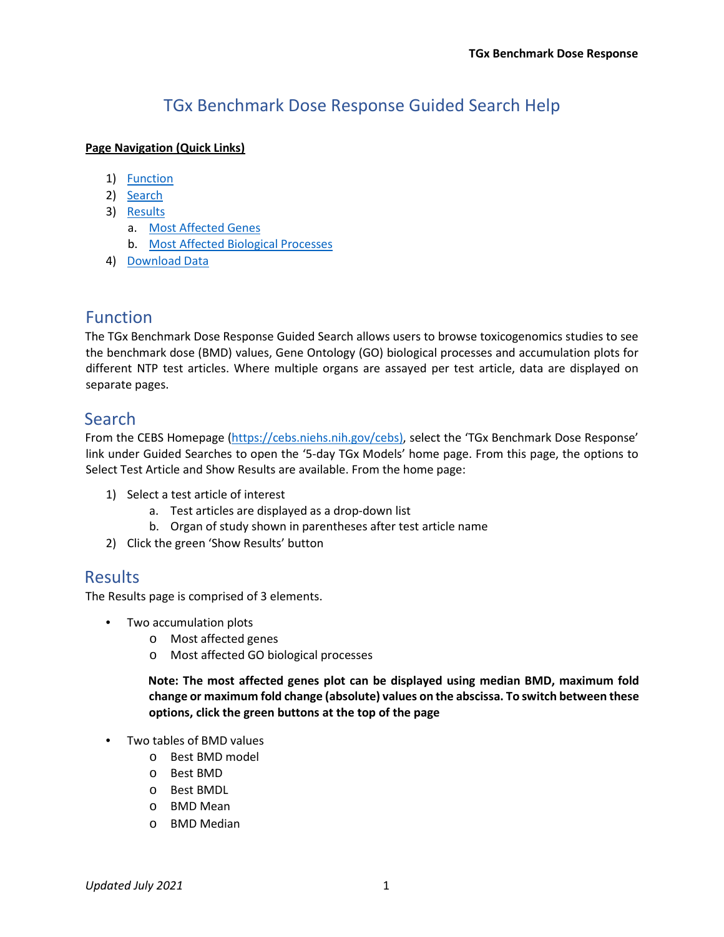# TGx Benchmark Dose Response Guided Search Help

#### **Page Navigation (Quick Links)**

- 1) [Function](#page-0-0)
- 2) [Search](#page-0-1)
- 3) [Results](#page-0-2)
	- a. [Most Affected Genes](#page-1-0)
	- b. [Most Affected Biological Processes](#page-2-0)
- 4) [Download Data](#page-3-0)

## <span id="page-0-0"></span>Function

The TGx Benchmark Dose Response Guided Search allows users to browse toxicogenomics studies to see the benchmark dose (BMD) values, Gene Ontology (GO) biological processes and accumulation plots for different NTP test articles. Where multiple organs are assayed per test article, data are displayed on separate pages.

## <span id="page-0-1"></span>Search

From the CEBS Homepage [\(https://cebs.niehs.nih.gov/cebs\),](https://cebs.niehs.nih.gov/cebs) select the 'TGx Benchmark Dose Response' link under Guided Searches to open the '5-day TGx Models' home page. From this page, the options to Select Test Article and Show Results are available. From the home page:

- 1) Select a test article of interest
	- a. Test articles are displayed as a drop-down list
	- b. Organ of study shown in parentheses after test article name
- 2) Click the green 'Show Results' button

### <span id="page-0-2"></span>Results

The Results page is comprised of 3 elements.

- Two accumulation plots
	- o Most affected genes
	- o Most affected GO biological processes

**Note: The most affected genes plot can be displayed using median BMD, maximum fold change or maximum fold change (absolute) values on the abscissa. To switch between these options, click the green buttons at the top of the page** 

- Two tables of BMD values
	- o Best BMD model
	- o Best BMD
	- o Best BMDL
	- o BMD Mean
	- o BMD Median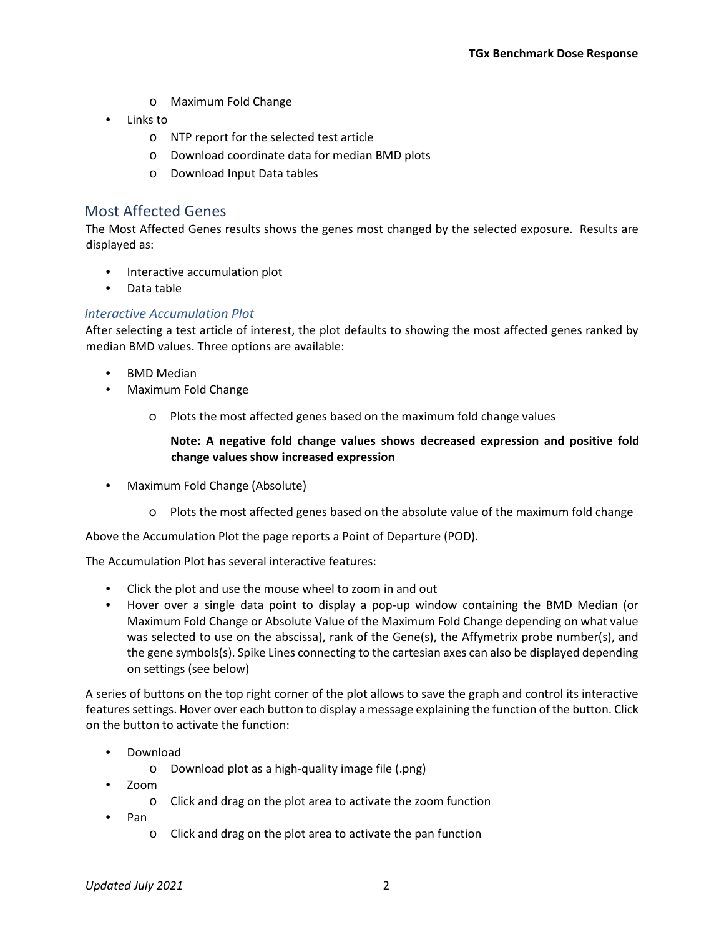- o Maximum Fold Change
- Links to
	- o NTP report for the selected test article
	- o Download coordinate data for median BMD plots
	- o Download Input Data tables

### <span id="page-1-0"></span>Most Affected Genes

The Most Affected Genes results shows the genes most changed by the selected exposure. Results are displayed as:

- Interactive accumulation plot
- Data table

#### *Interactive Accumulation Plot*

After selecting a test article of interest, the plot defaults to showing the most affected genes ranked by median BMD values. Three options are available:

- BMD Median
- Maximum Fold Change
	- o Plots the most affected genes based on the maximum fold change values

#### **Note: A negative fold change values shows decreased expression and positive fold change values show increased expression**

- Maximum Fold Change (Absolute)
	- o Plots the most affected genes based on the absolute value of the maximum fold change

Above the Accumulation Plot the page reports a Point of Departure (POD).

The Accumulation Plot has several interactive features:

- Click the plot and use the mouse wheel to zoom in and out
- Hover over a single data point to display a pop-up window containing the BMD Median (or Maximum Fold Change or Absolute Value of the Maximum Fold Change depending on what value was selected to use on the abscissa), rank of the Gene(s), the Affymetrix probe number(s), and the gene symbols(s). Spike Lines connecting to the cartesian axes can also be displayed depending on settings (see below)

A series of buttons on the top right corner of the plot allows to save the graph and control its interactive features settings. Hover over each button to display a message explaining the function of the button. Click on the button to activate the function:

- Download
	- o Download plot as a high-quality image file (.png)
- Zoom
	- o Click and drag on the plot area to activate the zoom function
- Pan
	- o Click and drag on the plot area to activate the pan function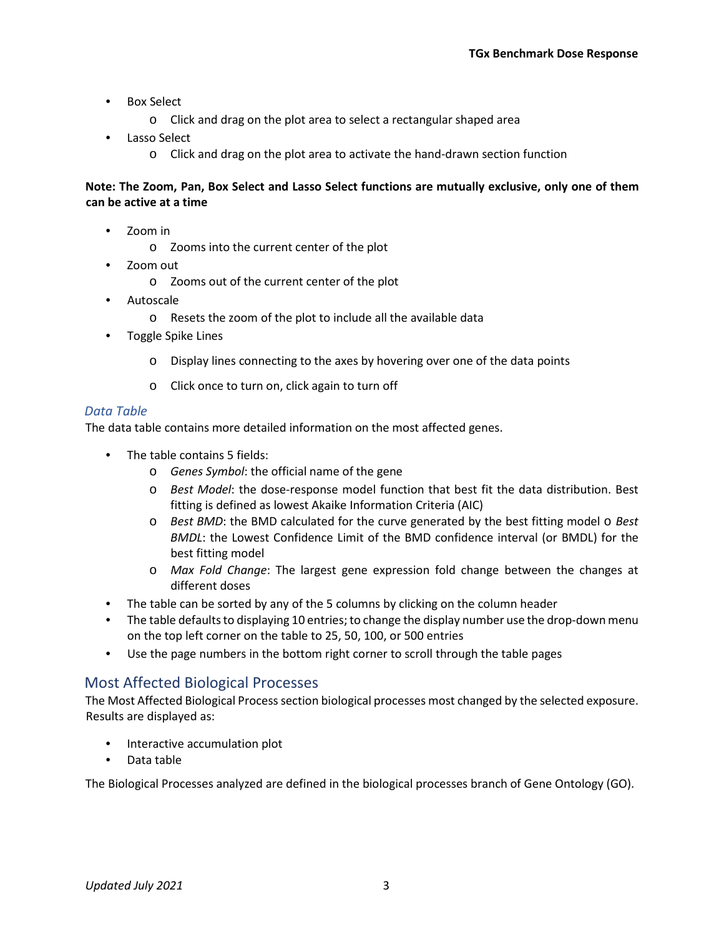- Box Select
	- o Click and drag on the plot area to select a rectangular shaped area
- Lasso Select
	- o Click and drag on the plot area to activate the hand-drawn section function

#### **Note: The Zoom, Pan, Box Select and Lasso Select functions are mutually exclusive, only one of them can be active at a time**

- Zoom in
	- o Zooms into the current center of the plot
- Zoom out
	- o Zooms out of the current center of the plot
- Autoscale
	- o Resets the zoom of the plot to include all the available data
- Toggle Spike Lines
	- o Display lines connecting to the axes by hovering over one of the data points
	- o Click once to turn on, click again to turn off

#### *Data Table*

The data table contains more detailed information on the most affected genes.

- The table contains 5 fields:
	- o *Genes Symbol*: the official name of the gene
	- o *Best Model*: the dose-response model function that best fit the data distribution. Best fitting is defined as lowest Akaike Information Criteria (AIC)
	- o *Best BMD*: the BMD calculated for the curve generated by the best fitting model o *Best BMDL*: the Lowest Confidence Limit of the BMD confidence interval (or BMDL) for the best fitting model
	- o *Max Fold Change*: The largest gene expression fold change between the changes at different doses
- The table can be sorted by any of the 5 columns by clicking on the column header
- The table defaults to displaying 10 entries; to change the display number use the drop-down menu on the top left corner on the table to 25, 50, 100, or 500 entries
- Use the page numbers in the bottom right corner to scroll through the table pages

### <span id="page-2-0"></span>Most Affected Biological Processes

The Most Affected Biological Process section biological processes most changed by the selected exposure. Results are displayed as:

- Interactive accumulation plot
- Data table

The Biological Processes analyzed are defined in the biological processes branch of Gene Ontology (GO).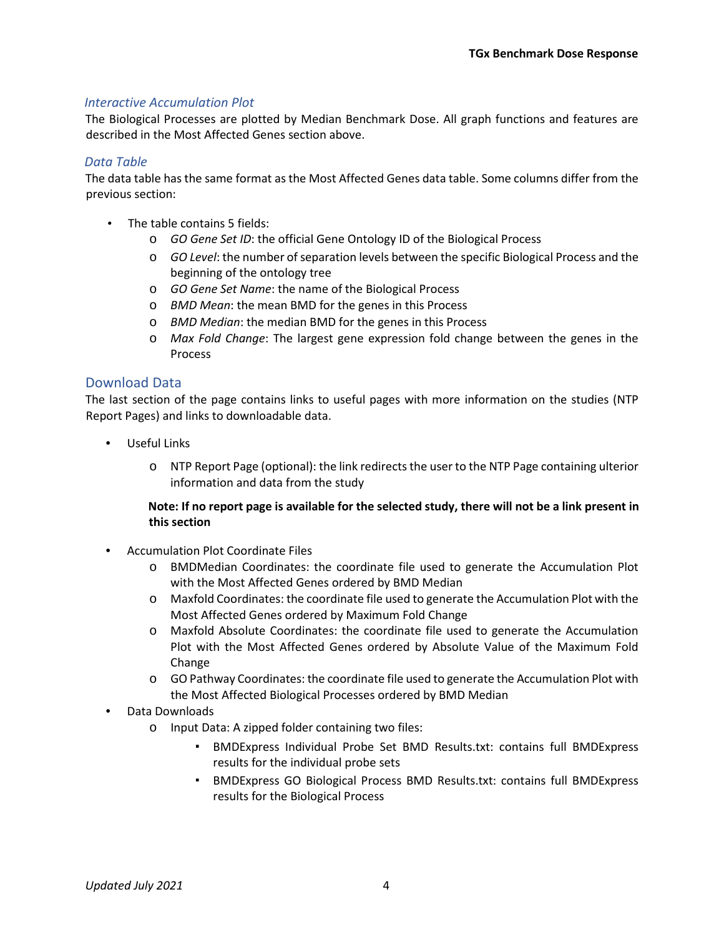#### *Interactive Accumulation Plot*

The Biological Processes are plotted by Median Benchmark Dose. All graph functions and features are described in the Most Affected Genes section above.

#### *Data Table*

The data table has the same format as the Most Affected Genes data table. Some columns differ from the previous section:

- The table contains 5 fields:
	- o *GO Gene Set ID*: the official Gene Ontology ID of the Biological Process
	- o *GO Level*: the number of separation levels between the specific Biological Process and the beginning of the ontology tree
	- o *GO Gene Set Name*: the name of the Biological Process
	- o *BMD Mean*: the mean BMD for the genes in this Process
	- o *BMD Median*: the median BMD for the genes in this Process
	- o *Max Fold Change*: The largest gene expression fold change between the genes in the Process

#### <span id="page-3-0"></span>Download Data

The last section of the page contains links to useful pages with more information on the studies (NTP Report Pages) and links to downloadable data.

- Useful Links
	- o NTP Report Page (optional): the link redirects the user to the NTP Page containing ulterior information and data from the study

#### **Note: If no report page is available for the selected study, there will not be a link present in this section**

- Accumulation Plot Coordinate Files
	- o BMDMedian Coordinates: the coordinate file used to generate the Accumulation Plot with the Most Affected Genes ordered by BMD Median
	- o Maxfold Coordinates: the coordinate file used to generate the Accumulation Plot with the Most Affected Genes ordered by Maximum Fold Change
	- o Maxfold Absolute Coordinates: the coordinate file used to generate the Accumulation Plot with the Most Affected Genes ordered by Absolute Value of the Maximum Fold Change
	- o GO Pathway Coordinates: the coordinate file used to generate the Accumulation Plot with the Most Affected Biological Processes ordered by BMD Median
- Data Downloads
	- o Input Data: A zipped folder containing two files:
		- BMDExpress Individual Probe Set BMD Results.txt: contains full BMDExpress results for the individual probe sets
		- BMDExpress GO Biological Process BMD Results.txt: contains full BMDExpress results for the Biological Process